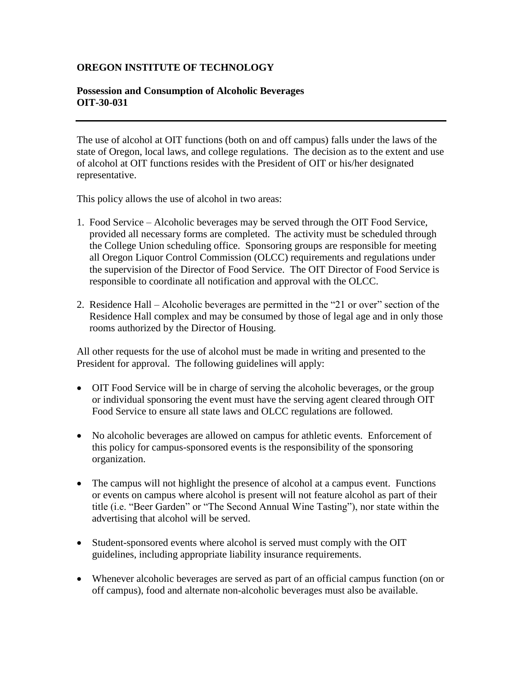## **OREGON INSTITUTE OF TECHNOLOGY**

## **Possession and Consumption of Alcoholic Beverages OIT-30-031**

The use of alcohol at OIT functions (both on and off campus) falls under the laws of the state of Oregon, local laws, and college regulations. The decision as to the extent and use of alcohol at OIT functions resides with the President of OIT or his/her designated representative.

This policy allows the use of alcohol in two areas:

- 1. Food Service Alcoholic beverages may be served through the OIT Food Service, provided all necessary forms are completed. The activity must be scheduled through the College Union scheduling office. Sponsoring groups are responsible for meeting all Oregon Liquor Control Commission (OLCC) requirements and regulations under the supervision of the Director of Food Service. The OIT Director of Food Service is responsible to coordinate all notification and approval with the OLCC.
- 2. Residence Hall Alcoholic beverages are permitted in the "21 or over" section of the Residence Hall complex and may be consumed by those of legal age and in only those rooms authorized by the Director of Housing.

All other requests for the use of alcohol must be made in writing and presented to the President for approval. The following guidelines will apply:

- OIT Food Service will be in charge of serving the alcoholic beverages, or the group or individual sponsoring the event must have the serving agent cleared through OIT Food Service to ensure all state laws and OLCC regulations are followed.
- No alcoholic beverages are allowed on campus for athletic events. Enforcement of this policy for campus-sponsored events is the responsibility of the sponsoring organization.
- The campus will not highlight the presence of alcohol at a campus event. Functions or events on campus where alcohol is present will not feature alcohol as part of their title (i.e. "Beer Garden" or "The Second Annual Wine Tasting"), nor state within the advertising that alcohol will be served.
- Student-sponsored events where alcohol is served must comply with the OIT guidelines, including appropriate liability insurance requirements.
- Whenever alcoholic beverages are served as part of an official campus function (on or off campus), food and alternate non-alcoholic beverages must also be available.